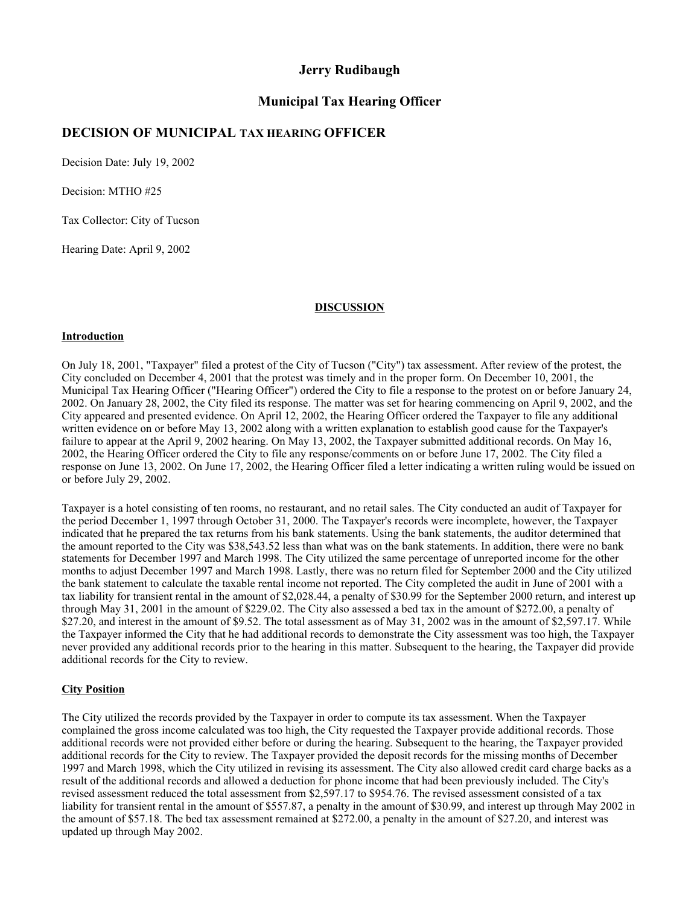## **Jerry Rudibaugh**

# **Municipal Tax Hearing Officer**

# **DECISION OF MUNICIPAL TAX HEARING OFFICER**

Decision Date: July 19, 2002

Decision: MTHO #25

Tax Collector: City of Tucson

Hearing Date: April 9, 2002

#### **DISCUSSION**

### **Introduction**

On July 18, 2001, "Taxpayer" filed a protest of the City of Tucson ("City") tax assessment. After review of the protest, the City concluded on December 4, 2001 that the protest was timely and in the proper form. On December 10, 2001, the Municipal Tax Hearing Officer ("Hearing Officer") ordered the City to file a response to the protest on or before January 24, 2002. On January 28, 2002, the City filed its response. The matter was set for hearing commencing on April 9, 2002, and the City appeared and presented evidence. On April 12, 2002, the Hearing Officer ordered the Taxpayer to file any additional written evidence on or before May 13, 2002 along with a written explanation to establish good cause for the Taxpayer's failure to appear at the April 9, 2002 hearing. On May 13, 2002, the Taxpayer submitted additional records. On May 16, 2002, the Hearing Officer ordered the City to file any response/comments on or before June 17, 2002. The City filed a response on June 13, 2002. On June 17, 2002, the Hearing Officer filed a letter indicating a written ruling would be issued on or before July 29, 2002.

Taxpayer is a hotel consisting of ten rooms, no restaurant, and no retail sales. The City conducted an audit of Taxpayer for the period December 1, 1997 through October 31, 2000. The Taxpayer's records were incomplete, however, the Taxpayer indicated that he prepared the tax returns from his bank statements. Using the bank statements, the auditor determined that the amount reported to the City was \$38,543.52 less than what was on the bank statements. In addition, there were no bank statements for December 1997 and March 1998. The City utilized the same percentage of unreported income for the other months to adjust December 1997 and March 1998. Lastly, there was no return filed for September 2000 and the City utilized the bank statement to calculate the taxable rental income not reported. The City completed the audit in June of 2001 with a tax liability for transient rental in the amount of \$2,028.44, a penalty of \$30.99 for the September 2000 return, and interest up through May 31, 2001 in the amount of \$229.02. The City also assessed a bed tax in the amount of \$272.00, a penalty of \$27.20, and interest in the amount of \$9.52. The total assessment as of May 31, 2002 was in the amount of \$2,597.17. While the Taxpayer informed the City that he had additional records to demonstrate the City assessment was too high, the Taxpayer never provided any additional records prior to the hearing in this matter. Subsequent to the hearing, the Taxpayer did provide additional records for the City to review.

### **City Position**

The City utilized the records provided by the Taxpayer in order to compute its tax assessment. When the Taxpayer complained the gross income calculated was too high, the City requested the Taxpayer provide additional records. Those additional records were not provided either before or during the hearing. Subsequent to the hearing, the Taxpayer provided additional records for the City to review. The Taxpayer provided the deposit records for the missing months of December 1997 and March 1998, which the City utilized in revising its assessment. The City also allowed credit card charge backs as a result of the additional records and allowed a deduction for phone income that had been previously included. The City's revised assessment reduced the total assessment from \$2,597.17 to \$954.76. The revised assessment consisted of a tax liability for transient rental in the amount of \$557.87, a penalty in the amount of \$30.99, and interest up through May 2002 in the amount of \$57.18. The bed tax assessment remained at \$272.00, a penalty in the amount of \$27.20, and interest was updated up through May 2002.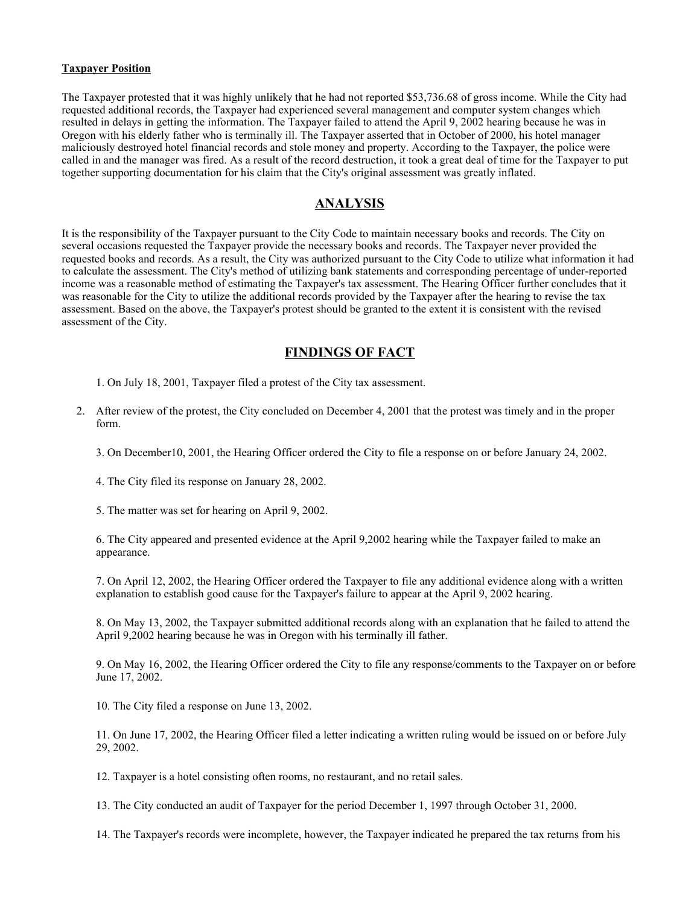### **Taxpayer Position**

The Taxpayer protested that it was highly unlikely that he had not reported \$53,736.68 of gross income. While the City had requested additional records, the Taxpayer had experienced several management and computer system changes which resulted in delays in getting the information. The Taxpayer failed to attend the April 9, 2002 hearing because he was in Oregon with his elderly father who is terminally ill. The Taxpayer asserted that in October of 2000, his hotel manager maliciously destroyed hotel financial records and stole money and property. According to the Taxpayer, the police were called in and the manager was fired. As a result of the record destruction, it took a great deal of time for the Taxpayer to put together supporting documentation for his claim that the City's original assessment was greatly inflated.

### **ANALYSIS**

It is the responsibility of the Taxpayer pursuant to the City Code to maintain necessary books and records. The City on several occasions requested the Taxpayer provide the necessary books and records. The Taxpayer never provided the requested books and records. As a result, the City was authorized pursuant to the City Code to utilize what information it had to calculate the assessment. The City's method of utilizing bank statements and corresponding percentage of under-reported income was a reasonable method of estimating the Taxpayer's tax assessment. The Hearing Officer further concludes that it was reasonable for the City to utilize the additional records provided by the Taxpayer after the hearing to revise the tax assessment. Based on the above, the Taxpayer's protest should be granted to the extent it is consistent with the revised assessment of the City.

## **FINDINGS OF FACT**

1. On July 18, 2001, Taxpayer filed a protest of the City tax assessment.

2. After review of the protest, the City concluded on December 4, 2001 that the protest was timely and in the proper form.

3. On December10, 2001, the Hearing Officer ordered the City to file a response on or before January 24, 2002.

4. The City filed its response on January 28, 2002.

5. The matter was set for hearing on April 9, 2002.

6. The City appeared and presented evidence at the April 9,2002 hearing while the Taxpayer failed to make an appearance.

7. On April 12, 2002, the Hearing Officer ordered the Taxpayer to file any additional evidence along with a written explanation to establish good cause for the Taxpayer's failure to appear at the April 9, 2002 hearing.

8. On May 13, 2002, the Taxpayer submitted additional records along with an explanation that he failed to attend the April 9,2002 hearing because he was in Oregon with his terminally ill father.

9. On May 16, 2002, the Hearing Officer ordered the City to file any response/comments to the Taxpayer on or before June 17, 2002.

10. The City filed a response on June 13, 2002.

11. On June 17, 2002, the Hearing Officer filed a letter indicating a written ruling would be issued on or before July 29, 2002.

12. Taxpayer is a hotel consisting often rooms, no restaurant, and no retail sales.

13. The City conducted an audit of Taxpayer for the period December 1, 1997 through October 31, 2000.

14. The Taxpayer's records were incomplete, however, the Taxpayer indicated he prepared the tax returns from his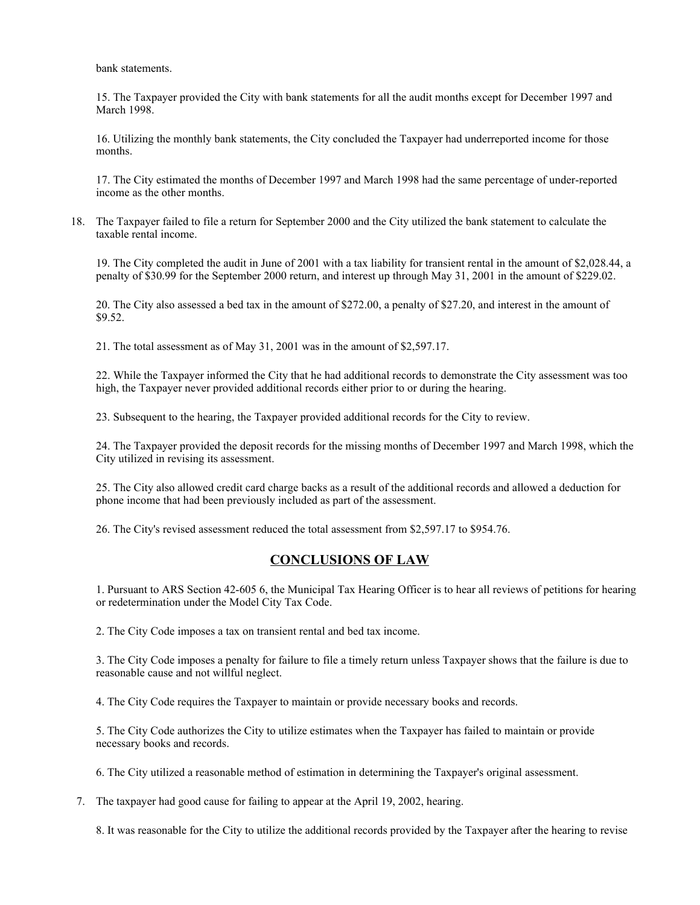bank statements.

15. The Taxpayer provided the City with bank statements for all the audit months except for December 1997 and March 1998.

16. Utilizing the monthly bank statements, the City concluded the Taxpayer had underreported income for those months.

17. The City estimated the months of December 1997 and March 1998 had the same percentage of under-reported income as the other months.

18. The Taxpayer failed to file a return for September 2000 and the City utilized the bank statement to calculate the taxable rental income.

19. The City completed the audit in June of 2001 with a tax liability for transient rental in the amount of \$2,028.44, a penalty of \$30.99 for the September 2000 return, and interest up through May 31, 2001 in the amount of \$229.02.

20. The City also assessed a bed tax in the amount of \$272.00, a penalty of \$27.20, and interest in the amount of \$9.52.

21. The total assessment as of May 31, 2001 was in the amount of \$2,597.17.

22. While the Taxpayer informed the City that he had additional records to demonstrate the City assessment was too high, the Taxpayer never provided additional records either prior to or during the hearing.

23. Subsequent to the hearing, the Taxpayer provided additional records for the City to review.

24. The Taxpayer provided the deposit records for the missing months of December 1997 and March 1998, which the City utilized in revising its assessment.

25. The City also allowed credit card charge backs as a result of the additional records and allowed a deduction for phone income that had been previously included as part of the assessment.

26. The City's revised assessment reduced the total assessment from \$2,597.17 to \$954.76.

# **CONCLUSIONS OF LAW**

1. Pursuant to ARS Section 42-605 6, the Municipal Tax Hearing Officer is to hear all reviews of petitions for hearing or redetermination under the Model City Tax Code.

2. The City Code imposes a tax on transient rental and bed tax income.

3. The City Code imposes a penalty for failure to file a timely return unless Taxpayer shows that the failure is due to reasonable cause and not willful neglect.

4. The City Code requires the Taxpayer to maintain or provide necessary books and records.

5. The City Code authorizes the City to utilize estimates when the Taxpayer has failed to maintain or provide necessary books and records.

6. The City utilized a reasonable method of estimation in determining the Taxpayer's original assessment.

7. The taxpayer had good cause for failing to appear at the April 19, 2002, hearing.

8. It was reasonable for the City to utilize the additional records provided by the Taxpayer after the hearing to revise